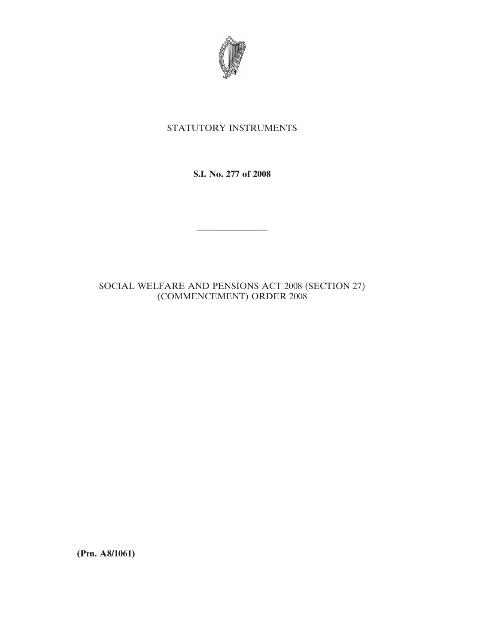

# STATUTORY INSTRUMENTS

**S.I. No. 277 of 2008**

————————

## SOCIAL WELFARE AND PENSIONS ACT 2008 (SECTION 27) (COMMENCEMENT) ORDER 2008

**(Prn. A8/1061)**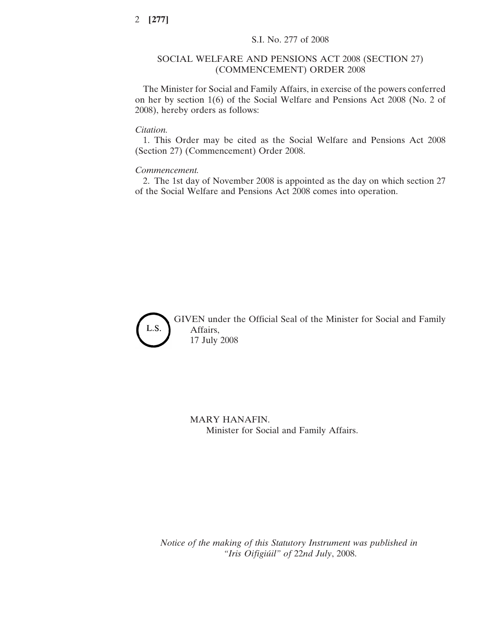#### SOCIAL WELFARE AND PENSIONS ACT 2008 (SECTION 27) (COMMENCEMENT) ORDER 2008

The Minister for Social and Family Affairs, in exercise of the powers conferred on her by section 1(6) of the Social Welfare and Pensions Act 2008 (No. 2 of 2008), hereby orders as follows:

#### *Citation.*

1. This Order may be cited as the Social Welfare and Pensions Act 2008 (Section 27) (Commencement) Order 2008.

#### *Commencement.*

2. The 1st day of November 2008 is appointed as the day on which section 27 of the Social Welfare and Pensions Act 2008 comes into operation.



GIVEN under the Official Seal of the Minister for Social and Family Affairs, 17 July 2008

MARY HANAFIN. Minister for Social and Family Affairs.

*Notice of the making of this Statutory Instrument was published in "Iris Oifigiu´il" of* 22*nd July*, 2008.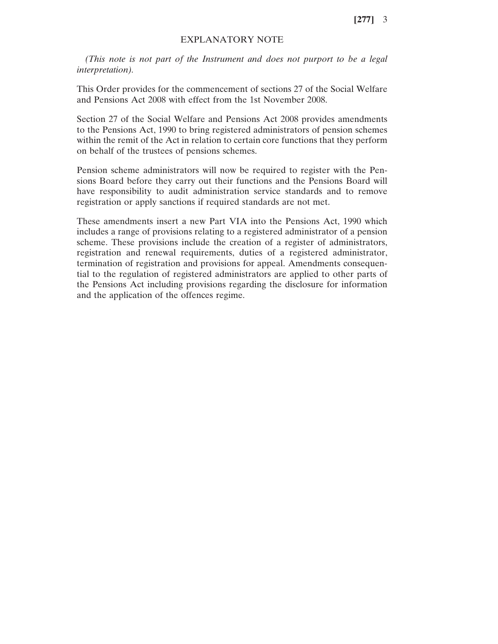**[277]** 3

### EXPLANATORY NOTE

*(This note is not part of the Instrument and does not purport to be a legal interpretation).*

This Order provides for the commencement of sections 27 of the Social Welfare and Pensions Act 2008 with effect from the 1st November 2008.

Section 27 of the Social Welfare and Pensions Act 2008 provides amendments to the Pensions Act, 1990 to bring registered administrators of pension schemes within the remit of the Act in relation to certain core functions that they perform on behalf of the trustees of pensions schemes.

Pension scheme administrators will now be required to register with the Pensions Board before they carry out their functions and the Pensions Board will have responsibility to audit administration service standards and to remove registration or apply sanctions if required standards are not met.

These amendments insert a new Part VIA into the Pensions Act, 1990 which includes a range of provisions relating to a registered administrator of a pension scheme. These provisions include the creation of a register of administrators, registration and renewal requirements, duties of a registered administrator, termination of registration and provisions for appeal. Amendments consequential to the regulation of registered administrators are applied to other parts of the Pensions Act including provisions regarding the disclosure for information and the application of the offences regime.